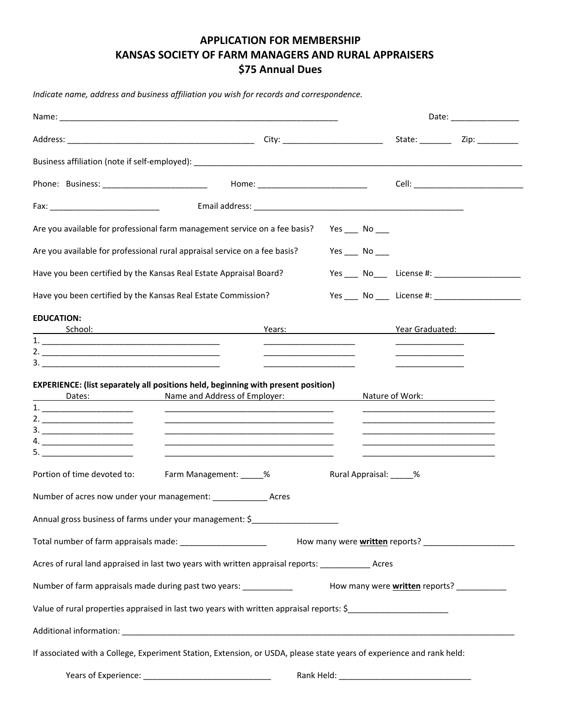## **APPLICATION FOR MEMBERSHIP KANSAS SOCIETY OF FARM MANAGERS AND RURAL APPRAISERS \$75 Annual Dues**

*Indicate name, address and business affiliation you wish for records and correspondence.* 

|                                                                                                                                                                                                                                                           |                                                                                                                                                                                                                                                                                                                                                         |                                                                                                                                                             | Date: __________________                                     |  |  |
|-----------------------------------------------------------------------------------------------------------------------------------------------------------------------------------------------------------------------------------------------------------|---------------------------------------------------------------------------------------------------------------------------------------------------------------------------------------------------------------------------------------------------------------------------------------------------------------------------------------------------------|-------------------------------------------------------------------------------------------------------------------------------------------------------------|--------------------------------------------------------------|--|--|
|                                                                                                                                                                                                                                                           |                                                                                                                                                                                                                                                                                                                                                         |                                                                                                                                                             |                                                              |  |  |
|                                                                                                                                                                                                                                                           |                                                                                                                                                                                                                                                                                                                                                         |                                                                                                                                                             |                                                              |  |  |
|                                                                                                                                                                                                                                                           |                                                                                                                                                                                                                                                                                                                                                         |                                                                                                                                                             | Cell: _______________________________                        |  |  |
|                                                                                                                                                                                                                                                           |                                                                                                                                                                                                                                                                                                                                                         |                                                                                                                                                             |                                                              |  |  |
| Are you available for professional farm management service on a fee basis?                                                                                                                                                                                | Yes $\_\_$ No $\_\_$                                                                                                                                                                                                                                                                                                                                    |                                                                                                                                                             |                                                              |  |  |
| Are you available for professional rural appraisal service on a fee basis?                                                                                                                                                                                | $Yes$ No ___                                                                                                                                                                                                                                                                                                                                            |                                                                                                                                                             |                                                              |  |  |
| Have you been certified by the Kansas Real Estate Appraisal Board?                                                                                                                                                                                        |                                                                                                                                                                                                                                                                                                                                                         |                                                                                                                                                             | Yes ______ No_______ License #: ____________________________ |  |  |
| Have you been certified by the Kansas Real Estate Commission?                                                                                                                                                                                             |                                                                                                                                                                                                                                                                                                                                                         |                                                                                                                                                             | Yes ______ No ______ License #: ________________________     |  |  |
| <b>EDUCATION:</b><br><u> School: School: School: School: School: School: School: School: School: School: School: School: School: School: School: School: School: School: School: School: School: School: School: School: School: School: School: Scho</u> | Years: New York State State State State State State State State State State State State State State State State State State State State State State State State State State State State State State State State State State St<br><u> 1989 - Johann Harry Harry Harry Harry Harry Harry Harry Harry Harry Harry Harry Harry Harry Harry Harry Harry</u> | Year Graduated:                                                                                                                                             |                                                              |  |  |
| EXPERIENCE: (list separately all positions held, beginning with present position)<br>Name and Address of Employer:<br><u>Dates: Dates:</u><br>$\begin{tabular}{c} 1. & \rule{3.0cm}{0.1cm} \rule{2.0cm}{0.1cm} \rule{2.0cm}{0.1cm} \end{tabular}$<br>2.   |                                                                                                                                                                                                                                                                                                                                                         | Nature of Work:<br>Nature of Work:<br><u> 1989 - Johann John Stein, mars an deutscher Stein und der Stein und der Stein und der Stein und der Stein und</u> |                                                              |  |  |
| Farm Management: _____%<br>Portion of time devoted to:                                                                                                                                                                                                    | Rural Appraisal: _____%                                                                                                                                                                                                                                                                                                                                 |                                                                                                                                                             |                                                              |  |  |
| Number of acres now under your management: __________________ Acres                                                                                                                                                                                       |                                                                                                                                                                                                                                                                                                                                                         |                                                                                                                                                             |                                                              |  |  |
| Annual gross business of farms under your management: \$                                                                                                                                                                                                  |                                                                                                                                                                                                                                                                                                                                                         |                                                                                                                                                             |                                                              |  |  |
|                                                                                                                                                                                                                                                           |                                                                                                                                                                                                                                                                                                                                                         |                                                                                                                                                             |                                                              |  |  |
| Acres of rural land appraised in last two years with written appraisal reports: ______________ Acres                                                                                                                                                      |                                                                                                                                                                                                                                                                                                                                                         |                                                                                                                                                             |                                                              |  |  |
| Number of farm appraisals made during past two years: ____________<br>How many were <b>written</b> reports? ____________                                                                                                                                  |                                                                                                                                                                                                                                                                                                                                                         |                                                                                                                                                             |                                                              |  |  |
| Value of rural properties appraised in last two years with written appraisal reports: \$                                                                                                                                                                  |                                                                                                                                                                                                                                                                                                                                                         |                                                                                                                                                             |                                                              |  |  |
|                                                                                                                                                                                                                                                           |                                                                                                                                                                                                                                                                                                                                                         |                                                                                                                                                             |                                                              |  |  |
| If associated with a College, Experiment Station, Extension, or USDA, please state years of experience and rank held:                                                                                                                                     |                                                                                                                                                                                                                                                                                                                                                         |                                                                                                                                                             |                                                              |  |  |
|                                                                                                                                                                                                                                                           |                                                                                                                                                                                                                                                                                                                                                         |                                                                                                                                                             |                                                              |  |  |